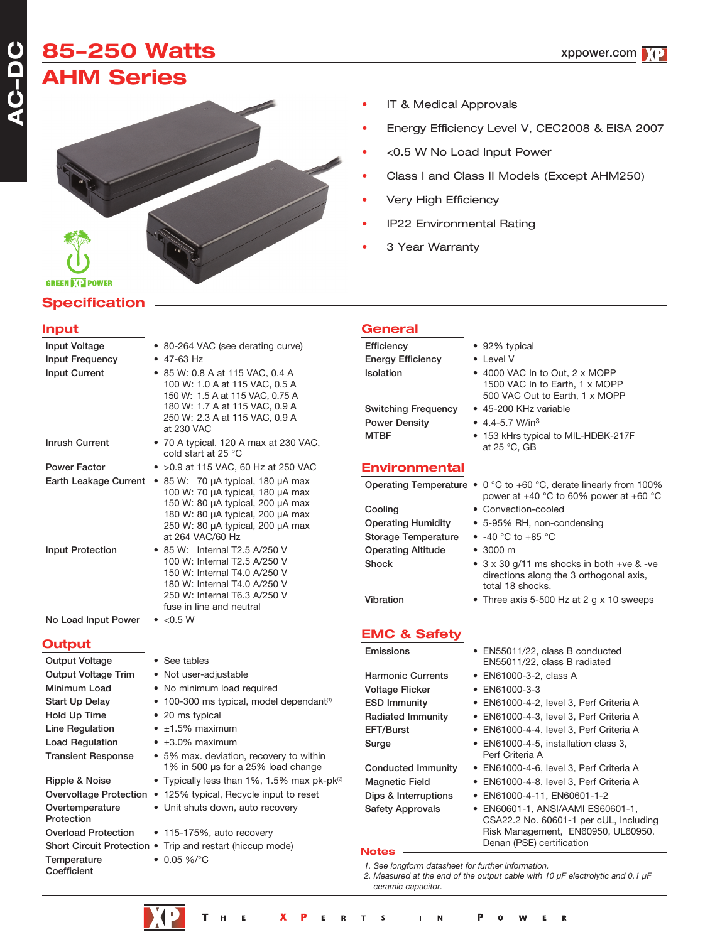## **85250 Watts AHM Series**



### **Specification**

#### **Input**

| Input Voltage                 | • 80-264 VAC (see derating curve)                                                                                                                                                      | Efficienc                                   |
|-------------------------------|----------------------------------------------------------------------------------------------------------------------------------------------------------------------------------------|---------------------------------------------|
| <b>Input Frequency</b>        | $\bullet$ 47-63 Hz                                                                                                                                                                     | <b>Energy E</b>                             |
| <b>Input Current</b>          | • 85 W: 0.8 A at 115 VAC, 0.4 A<br>100 W: 1.0 A at 115 VAC, 0.5 A<br>150 W: 1.5 A at 115 VAC, 0.75 A<br>180 W: 1.7 A at 115 VAC, 0.9 A<br>250 W: 2.3 A at 115 VAC, 0.9 A<br>at 230 VAC | Isolation<br>Switchin<br>Power D            |
| <b>Inrush Current</b>         | • 70 A typical, 120 A max at 230 VAC,<br>cold start at 25 °C                                                                                                                           | <b>MTBF</b>                                 |
| <b>Power Factor</b>           | • > 0.9 at 115 VAC, 60 Hz at 250 VAC                                                                                                                                                   | Envirc                                      |
| Earth Leakage Current         | • 85 W: 70 µA typical, 180 µA max<br>100 W: 70 µA typical, 180 µA max                                                                                                                  | Operatin                                    |
|                               | 150 W: 80 µA typical, 200 µA max<br>180 W: 80 µA typical, 200 µA max<br>250 W: 80 µA typical, 200 µA max<br>at 264 VAC/60 Hz                                                           | Cooling<br>Operatin<br>Storage <sup>®</sup> |
| <b>Input Protection</b>       | • 85 W: Internal T2.5 A/250 V<br>100 W: Internal T2.5 A/250 V<br>150 W: Internal T4.0 A/250 V                                                                                          | Operatin<br>Shock                           |
|                               | 180 W: Internal T4.0 A/250 V<br>250 W: Internal T6.3 A/250 V<br>fuse in line and neutral                                                                                               | Vibration                                   |
| No Load Input Power           | $\bullet$ <0.5 W                                                                                                                                                                       |                                             |
| <b>Output</b>                 |                                                                                                                                                                                        | <b>EMC {</b>                                |
| <b>Output Voltage</b>         | • See tables                                                                                                                                                                           | Emission                                    |
| <b>Output Voltage Trim</b>    | • Not user-adjustable                                                                                                                                                                  | Harmoni                                     |
| Minimum Load                  | • No minimum load required                                                                                                                                                             | Voltage I                                   |
| Start Up Delay                | • 100-300 ms typical, model dependant <sup>(1)</sup>                                                                                                                                   | ESD Imn                                     |
| Hold Up Time                  | • 20 ms typical                                                                                                                                                                        | Radiated                                    |
| <b>Line Regulation</b>        | $\bullet$ ±1.5% maximum                                                                                                                                                                | EFT/Burs                                    |
| <b>Load Regulation</b>        | $\bullet$ ±3.0% maximum                                                                                                                                                                | Surge                                       |
| <b>Transient Response</b>     | • 5% max. deviation, recovery to within<br>1% in 500 µs for a 25% load change                                                                                                          | Conduct                                     |
| Ripple & Noise                | • Typically less than 1%, 1.5% max pk-pk <sup>(2)</sup>                                                                                                                                | Magnetio                                    |
|                               | Overvoltage Protection • 125% typical, Recycle input to reset                                                                                                                          | Dips & Ir                                   |
| Overtemperature<br>Protection | • Unit shuts down, auto recovery                                                                                                                                                       | Safety A                                    |
| <b>Overload Protection</b>    | • 115-175%, auto recovery                                                                                                                                                              |                                             |
|                               | Short Circuit Protection . Trip and restart (hiccup mode)                                                                                                                              | <b>Notes</b>                                |
| Temperature                   | $\bullet$ 0.05 %/°C                                                                                                                                                                    |                                             |

- IT & Medical Approvals
- Energy Efficiency Level V, CEC2008 & EISA 2007
- <0.5 W No Load Input Power
- Class I and Class II Models (Except AHM250)
- Very High Efficiency
- IP22 Environmental Rating
- 3 Year Warranty

|--|

 $\bullet$  92% typical Efficiency • Level V g Frequency • 45-200 KHz variable

 $\text{Density} \qquad \bullet \quad 4.4\text{-}5.7 \text{ W/in}^3$ 

### **Primental**

g Temperature  $\bullet$  0 °C to +60 °C, derate linearly from 100%

g Humidity • 5-95% RH, non-condensing Temperature  $\bullet$  -40 °C to +85 °C operation of Altitude • 3000 m

**EMC & Safety**

Emissions • EN55011/22, class B conducted EN55011/22, class B radiated

• 4000 VAC In to Out, 2 x MOPP 1500 VAC In to Earth, 1 x MOPP 500 VAC Out to Earth, 1 x MOPP

• 153 kHrs typical to MIL-HDBK-217F

power at +40 °C to 60% power at +60 °C

 $\bullet$  3 x 30 g/11 ms shocks in both +ve & -ve directions along the 3 orthogonal axis,

• Three axis 5-500 Hz at 2 g  $\times$  10 sweeps

at 25 °C, GB

• Convection-cooled

total 18 shocks.

- ic Currents EN61000-3-2, class A
- Flicker EN61000-3-3
- nunity EN61000-4-2, level 3, Perf Criteria A
- d Immunity EN61000-4-3, level 3, Perf Criteria A
- st EN61000-4-4, level 3, Perf Criteria A
	- $\bullet$  EN61000-4-5, installation class 3, Perf Criteria A
- ed Immunity EN61000-4-6, level 3, Perf Criteria A
- c Field EN61000-4-8, level 3, Perf Criteria A
- nterruptions EN61000-4-11, EN60601-1-2
- pprovals EN60601-1, ANSI/AAMI ES60601-1, CSA22.2 No. 60601-1 per cUL, Including Risk Management, EN60950, UL60950. Denan (PSE) certification

*1. See longform datasheet for further information.*



**Coefficient** 

Ë N  $\mathbf R$ Е  $\blacksquare$  $\Omega$ W E.

- 
- 

*<sup>2.</sup> Measured at the end of the output cable with 10 µF electrolytic and 0.1 µF ceramic capacitor.*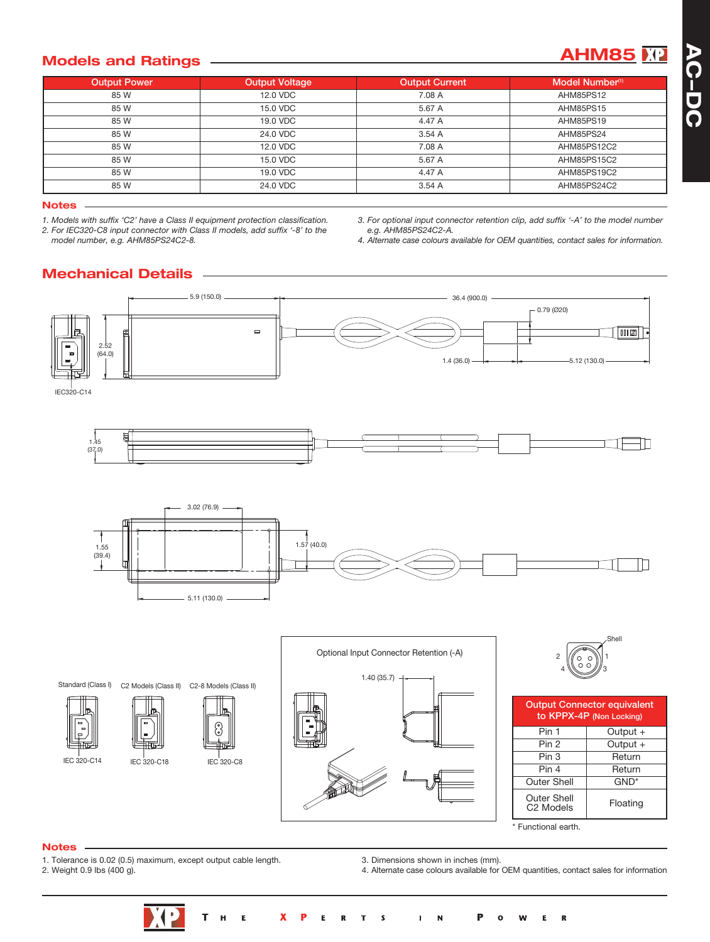## **Models** and Ratings **AHM85** 2012 **AHM85** 2012

| <b>Output Power</b> | <b>Output Voltage</b> | <b>Output Current</b> | Model Number <sup>(1)</sup> |
|---------------------|-----------------------|-----------------------|-----------------------------|
| 85 W                | 12.0 VDC              | 7.08 A                | AHM85PS12                   |
| 85 W                | 15.0 VDC              | 5.67 A                | AHM85PS15                   |
| 85 W                | 19.0 VDC              | 4.47 A                | AHM85PS19                   |
| 85 W                | 24.0 VDC              | 3.54A                 | AHM85PS24                   |
| 85 W                | 12.0 VDC              | 7.08 A                | AHM85PS12C2                 |
| 85 W                | 15.0 VDC              | 5.67 A                | AHM85PS15C2                 |
| 85 W                | 19.0 VDC              | 4.47 A                | AHM85PS19C2                 |
| 85 W                | 24.0 VDC              | 3.54A                 | AHM85PS24C2                 |

#### **Notes**

*1. Models with suffix 'C2' have a Class II equipment protection classification. 2. For IEC320-C8 input connector with Class II models, add suffix '-8' to the model number, e.g. AHM85PS24C2-8.*

*3. For optional input connector retention clip, add suffix '-A' to the model number e.g. AHM85PS24C2-A.*

*4. Alternate case colours available for OEM quantities, contact sales for information.*

### **Mechanical Details**



#### **Notes**

1. Tolerance is 0.02 (0.5) maximum, except output cable length.

2. Weight 0.9 lbs (400 g).

3. Dimensions shown in inches (mm). 4. Alternate case colours available for OEM quantities, contact sales for information

\* Functional earth.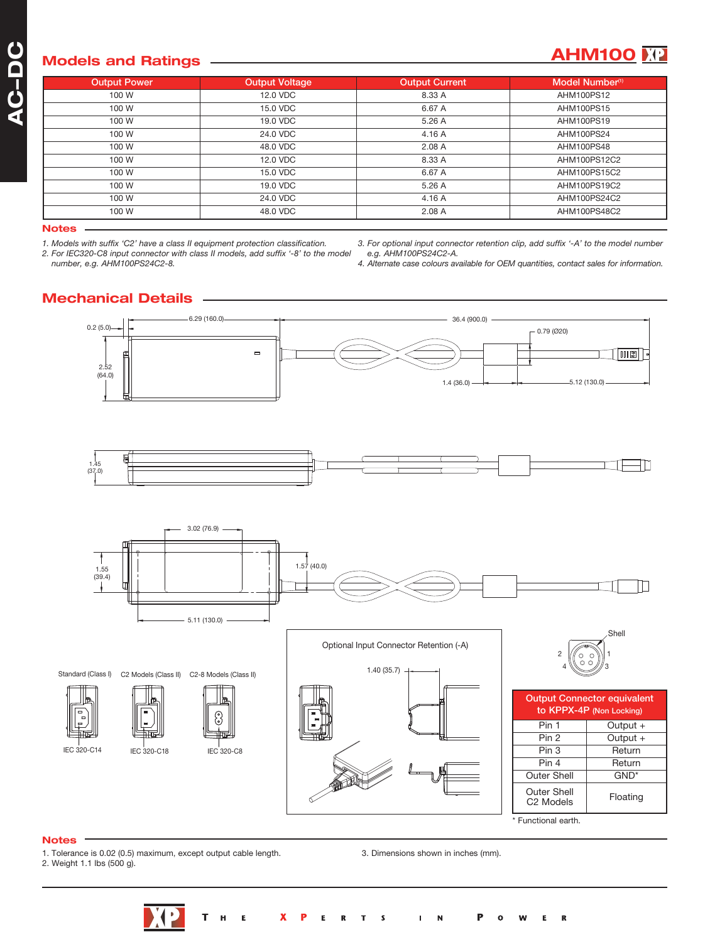## **Models** and Ratings **AHM100 AHM100 AHM100 AHM100 AHM100 AHM100 AHM100 AHM100 AHM100 AHM100 AHM100 AHM100 AHM100 AHM100 AHM100 AHM100 AHM100 AHM100 AHM100 AHM100 AHM100 AHM100 AH**

| <b>Output Power</b> | <b>Output Voltage</b> | <b>Output Current</b> | Model Number <sup>(1)</sup> |
|---------------------|-----------------------|-----------------------|-----------------------------|
| 100 W               | 12.0 VDC              | 8.33 A                | AHM100PS12                  |
| 100 W               | 15.0 VDC              | 6.67 A                | AHM100PS15                  |
| 100 W               | 19.0 VDC              | 5.26 A                | AHM100PS19                  |
| 100 W               | 24.0 VDC              | 4.16 A                | AHM100PS24                  |
| 100 W               | 48.0 VDC              | 2.08 A                | AHM100PS48                  |
| 100 W               | 12.0 VDC              | 8.33 A                | AHM100PS12C2                |
| 100 W               | 15.0 VDC              | 6.67 A                | AHM100PS15C2                |
| 100 W               | 19.0 VDC              | 5.26 A                | AHM100PS19C2                |
| 100 W               | 24.0 VDC              | 4.16 A                | AHM100PS24C2                |
| 100 W               | 48.0 VDC              | 2.08A                 | AHM100PS48C2                |

#### **Notes**

*1. Models with suffix 'C2' have a class II equipment protection classification.*

*2. For IEC320-C8 input connector with class II models, add suffix '-8' to the model number, e.g. AHM100PS24C2-8.*

*3. For optional input connector retention clip, add suffix '-A' to the model number e.g. AHM100PS24C2-A.*

*4. Alternate case colours available for OEM quantities, contact sales for information.*

### **Mechanical Details**



\* Functional earth.

#### **Notes**

- 1. Tolerance is 0.02 (0.5) maximum, except output cable length.
- 2. Weight 1.1 lbs (500 g).
	-

3. Dimensions shown in inches (mm).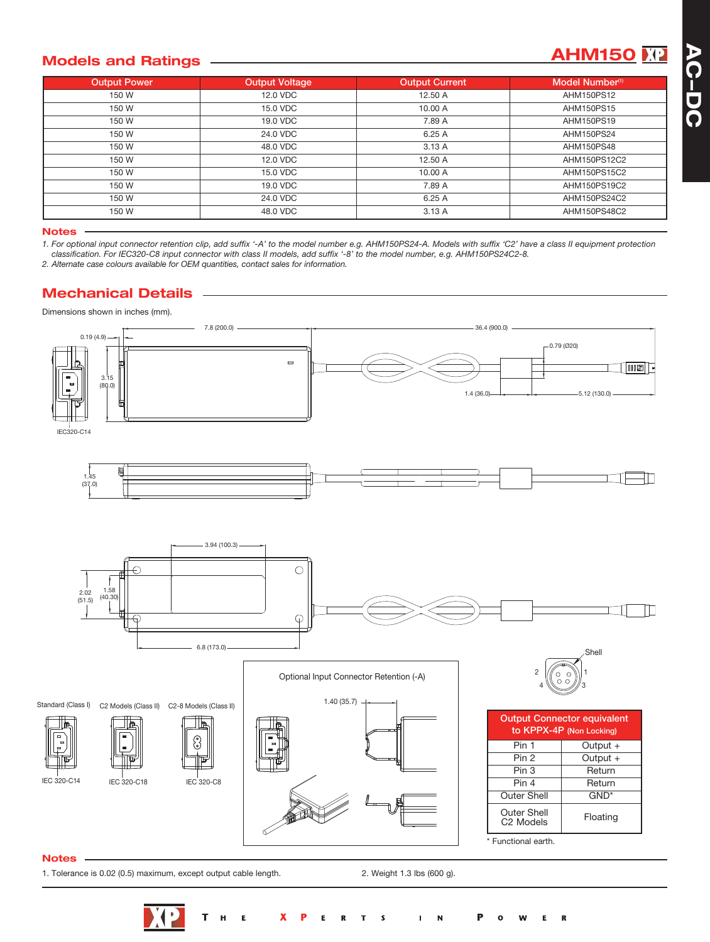## **Models** and Ratings **AHM150 AHM150**

| <b>Output Power</b> | <b>Output Voltage</b> | <b>Output Current</b> | Model Number <sup>(1)</sup> |
|---------------------|-----------------------|-----------------------|-----------------------------|
| 150 W               | 12.0 VDC              | 12.50 A               | AHM150PS12                  |
| 150 W               | 15.0 VDC              | 10.00 A               | AHM150PS15                  |
| 150 W               | 19.0 VDC              | 7.89 A                | AHM150PS19                  |
| 150 W               | 24.0 VDC              | 6.25 A                | AHM150PS24                  |
| 150 W               | 48.0 VDC              | 3.13A                 | AHM150PS48                  |
| 150 W               | 12.0 VDC              | 12.50 A               | AHM150PS12C2                |
| 150 W               | 15.0 VDC              | 10.00 A               | AHM150PS15C2                |
| 150 W               | 19.0 VDC              | 7.89 A                | AHM150PS19C2                |
| 150 W               | 24.0 VDC              | 6.25 A                | AHM150PS24C2                |
| 150 W               | 48.0 VDC              | 3.13A                 | AHM150PS48C2                |

#### **Notes**

1. For optional input connector retention clip, add suffix '-A' to the model number e.g. AHM150PS24-A. Models with suffix 'C2' have a class II equipment protection

classification. For IEC320-C8 input connector with class II models, add suffix '-8' to the model number, e.g. AHM150PS24C2-8.

*2. Alternate case colours available for OEM quantities, contact sales for information.*

### **Mechanical Details**

Dimensions shown in inches (mm).



#### **Notes**

1. Tolerance is 0.02 (0.5) maximum, except output cable length. 2. Weight 1.3 lbs (600 g).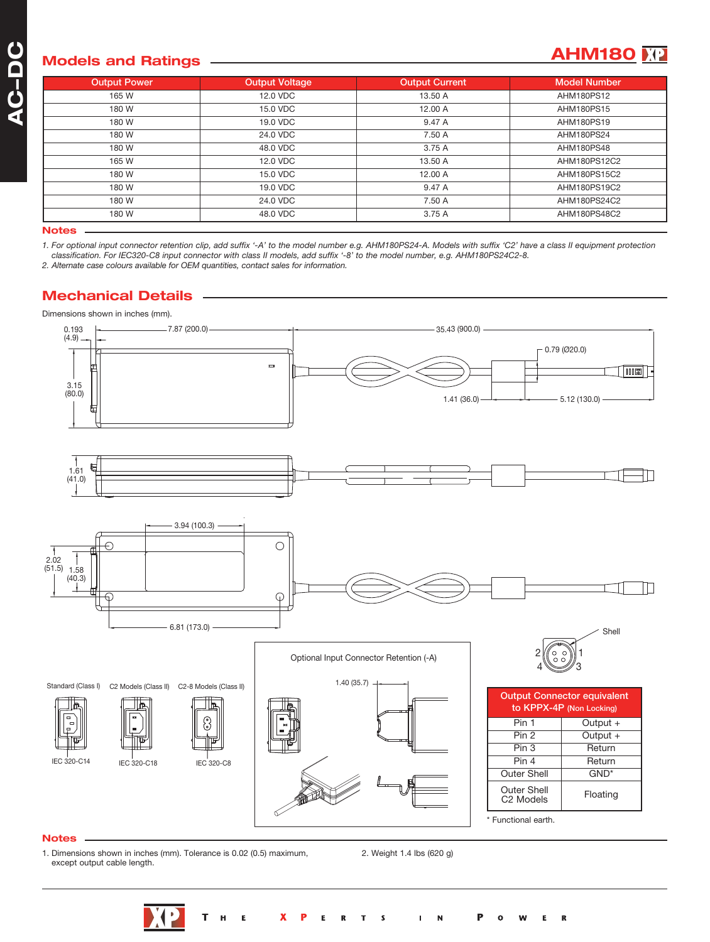## **A C** $\overline{\phantom{a}}$ **DC**

## **Models** and Ratings **AHM180 AHM180 AHM180 AHM180 AHM180 AHM180 AHM180 AHM180 AHM180 AHM180 AHM180 AHM180 AHM180 AHM180 AHM180 AHM180 AHM180 AHM180 AHM180 AHM180 AHM180 AHM180 AH**

| <b>Output Power</b> | <b>Output Voltage</b> | <b>Output Current</b> | <b>Model Number</b> |
|---------------------|-----------------------|-----------------------|---------------------|
| 165 W               | 12.0 VDC              | 13.50 A               | AHM180PS12          |
| 180 W               | 15.0 VDC              | 12.00 A               | AHM180PS15          |
| 180 W               | 19.0 VDC              | 9.47 A                | AHM180PS19          |
| 180 W               | 24.0 VDC              | 7.50 A                | AHM180PS24          |
| 180 W               | 48.0 VDC              | 3.75 A                | AHM180PS48          |
| 165 W               | 12.0 VDC              | 13.50 A               | AHM180PS12C2        |
| 180 W               | 15.0 VDC              | 12.00 A               | AHM180PS15C2        |
| 180 W               | 19.0 VDC              | 9.47 A                | AHM180PS19C2        |
| 180 W               | 24.0 VDC              | 7.50 A                | AHM180PS24C2        |
| 180 W               | 48.0 VDC              | 3.75 A                | AHM180PS48C2        |

**Notes**

1. For optional input connector retention clip, add suffix '-A' to the model number e.g. AHM180PS24-A. Models with suffix 'C2' have a class II equipment protection classification. For IEC320-C8 input connector with class II models, add suffix '-8' to the model number, e.g. AHM180PS24C2-8.

*2. Alternate case colours available for OEM quantities, contact sales for information.*

### **Mechanical Details**

Dimensions shown in inches (mm).



#### **Notes**

1. Dimensions shown in inches (mm). Tolerance is 0.02 (0.5) maximum, except output cable length.

2. Weight 1.4 lbs (620 g)